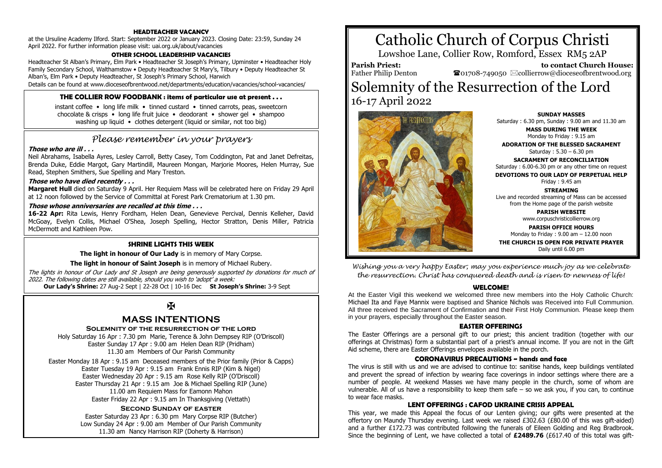## **HEADTEACHER VACANCY**

at the Ursuline Academy Ilford. Start: September 2022 or January 2023. Closing Date: 23:59, Sunday 24 April 2022. For further information please visit: uai.org.uk/about/vacancies

#### **OTHER SCHOOL LEADERSHIP VACANCIES**

Headteacher St Alban's Primary, Elm Park • Headteacher St Joseph's Primary, Upminster • Headteacher Holy Family Secondary School, Walthamstow • Deputy Headteacher St Mary's, Tilbury • Deputy Headteacher St Alban's, Elm Park • Deputy Headteacher, St Joseph's Primary School, Harwich

Details can be found at www.dioceseofbrentwood.net/departments/education/vacancies/school-vacancies/

#### **THE COLLIER ROW FOODBANK : items of particular use at present . . .**

instant coffee • long life milk • tinned custard • tinned carrots, peas, sweetcorn chocolate & crisps • long life fruit juice • deodorant • shower gel • shampoo washing up liquid • clothes detergent (liquid or similar, not too big)

# *Please remember in your prayers*

#### **Those who are ill . . .**

Neil Abrahams, Isabella Ayres, Lesley Carroll, Betty Casey, Tom Coddington, Pat and Janet Defreitas, Brenda Duke, Eddie Margot, Gary Martindill, Maureen Mongan, Marjorie Moores, Helen Murray, Sue Read, Stephen Smithers, Sue Spelling and Mary Treston.

#### **Those who have died recently . . .**

**Margaret Hull** died on Saturday 9 April. Her Requiem Mass will be celebrated here on Friday 29 April at 12 noon followed by the Service of Committal at Forest Park Crematorium at 1.30 pm.

#### **Those whose anniversaries are recalled at this time . . .**

**16-22 Apr:** Rita Lewis, Henry Fordham, Helen Dean, Genevieve Percival, Dennis Kelleher, David McGoay, Evelyn Collis, Michael O'Shea, Joseph Spelling, Hector Stratton, Denis Miller, Patricia McDermott and Kathleen Pow.

#### **SHRINE LIGHTS THIS WEEK**

**The light in honour of Our Lady** is in memory of Mary Corpse.

**The light in honour of Saint Joseph** is in memory of Michael Rubery.

The lights in honour of Our Lady and St Joseph are being generously supported by donations for much of 2022. The following dates are still available, should you wish to 'adopt' a week:  **Our Lady's Shrine:** 27 Aug-2 Sept | 22-28 Oct | 10-16 Dec **St Joseph's Shrine:** 3-9 Sept

 $\mathbf{H}$ 

# **MASS INTENTIONS**

#### **Solemnity of the resurrection of the lord**

Holy Saturday 16 Apr : 7.30 pm Marie, Terence & John Dempsey RIP (O'Driscoll) Easter Sunday 17 Apr : 9.00 am Helen Dean RIP (Pridham) 11.30 am Members of Our Parish Community

Easter Monday 18 Apr : 9.15 am Deceased members of the Prior family (Prior & Capps) Easter Tuesday 19 Apr : 9.15 am Frank Ennis RIP (Kim & Nigel) Easter Wednesday 20 Apr : 9.15 am Rose Kelly RIP (O'Driscoll) Easter Thursday 21 Apr : 9.15 am Joe & Michael Spelling RIP (June) 11.00 am Requiem Mass for Eamonn Mahon Easter Friday 22 Apr : 9.15 am In Thanksgiving (Vettath)

#### **Second Sunday of easter**

Easter Saturday 23 Apr : 6.30 pm Mary Corpse RIP (Butcher) Low Sunday 24 Apr : 9.00 am Member of Our Parish Community 11.30 am Nancy Harrison RIP (Doherty & Harrison)

# Catholic Church of Corpus Christi

Lowshoe Lane, Collier Row, Romford, Essex RM5 2AP

#### **Parish Priest:** Father Philip Denton

 **to contact Church House:**  $\bullet$ 01708-749050  $\boxtimes$ collierrow@dioceseofbrentwood.org

# Solemnity of the Resurrection of the Lord 16-17 April 2022



**SUNDAY MASSES** Saturday : 6.30 pm, Sunday : 9.00 am and 11.30 am

> **MASS DURING THE WEEK** Monday to Friday : 9.15 am

**ADORATION OF THE BLESSED SACRAMENT** Saturday : 5.30 – 6.30 pm

**SACRAMENT OF RECONCILIATION** Saturday : 6.00-6.30 pm or any other time on request

**DEVOTIONS TO OUR LADY OF PERPETUAL HELP** Friday : 9.45 am

**STREAMING** Live and recorded streaming of Mass can be accessed from the Home page of the parish website

> **PARISH WEBSITE** www.corpuschristicollierrow.org

**PARISH OFFICE HOURS** Monday to Friday : 9.00 am – 12.00 noon

**THE CHURCH IS OPEN FOR PRIVATE PRAYER** Daily until 6.00 pm

*Wishing you a very happy Easter; may you experience much joy as we celebrate the resurrection. Christ has conquered death and is risen to newness of life!*

#### **WELCOME!**

At the Easter Vigil this weekend we welcomed three new members into the Holy Catholic Church: Michael Ita and Faye Mannix were baptised and Shanice Nichols was Received into Full Communion. All three received the Sacrament of Confirmation and their First Holy Communion. Please keep them in your prayers, especially throughout the Easter season.

#### **EASTER OFFERINGS**

The Easter Offerings are a personal gift to our priest; this ancient tradition (together with our offerings at Christmas) form a substantial part of a priest's annual income. If you are not in the Gift Aid scheme, there are Easter Offerings envelopes available in the porch.

#### **CORONAVIRUS PRECAUTIONS ~ hands and face**

The virus is still with us and we are advised to continue to: sanitise hands, keep buildings ventilated and prevent the spread of infection by wearing face coverings in indoor settings where there are a number of people. At weekend Masses we have many people in the church, some of whom are vulnerable. All of us have a responsibility to keep them safe – so we ask you, if you can, to continue to wear face masks.

### **LENT OFFERINGS : CAFOD UKRAINE CRISIS APPEAL**

This year, we made this Appeal the focus of our Lenten giving; our gifts were presented at the offertory on Maundy Thursday evening. Last week we raised £302.63 (£80.00 of this was gift-aided) and a further £172.73 was contributed following the funerals of Eileen Golding and Reg Bradbrook. Since the beginning of Lent, we have collected a total of **£2489.76** (£617.40 of this total was gift-